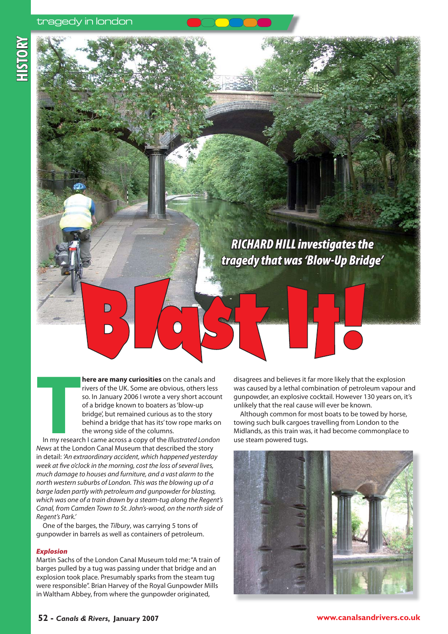**RICHARD HILL investigates the** *tragedy that was 'Blow-Up Bridge' ragedy* 

**here are many curiosities** on the canals and rivers of the UK. Some are obvious, others less so. In January 2006 I wrote a very short account of a bridge known to boaters as 'blow-up bridge', but remained curious as to the story behind a bridge that has its' tow rope marks on the wrong side of the columns.

**T**<br>
In my researc<br>
News at the Lor In my research I came across a copy of the Illustrated London News at the London Canal Museum that described the story in detail: 'An extraordinary accident, which happened yesterday week at five o'clock in the morning, cost the loss of several lives, much damage to houses and furniture, and a vast alarm to the north western suburbs of London. This was the blowing up of a barge laden partly with petroleum and gunpowder for blasting, which was one of a train drawn by a steam-tug along the Regent's Canal, from Camden Town to St. John's-wood, on the north side of Regent's Park.'

One of the barges, the Tilbury, was carrying 5 tons of gunpowder in barrels as well as containers of petroleum.

### *Explosion*

Martin Sachs of the London Canal Museum told me: "A train of barges pulled by a tug was passing under that bridge and an explosion took place. Presumably sparks from the steam tug were responsible". Brian Harvey of the Royal Gunpowder Mills in Waltham Abbey, from where the gunpowder originated,

disagrees and believes it far more likely that the explosion was caused by a lethal combination of petroleum vapour and gunpowder, an explosive cocktail. However 130 years on, it's unlikely that the real cause will ever be known.

Although common for most boats to be towed by horse, towing such bulk cargoes travelling from London to the Midlands, as this train was, it had become commonplace to use steam powered tugs.

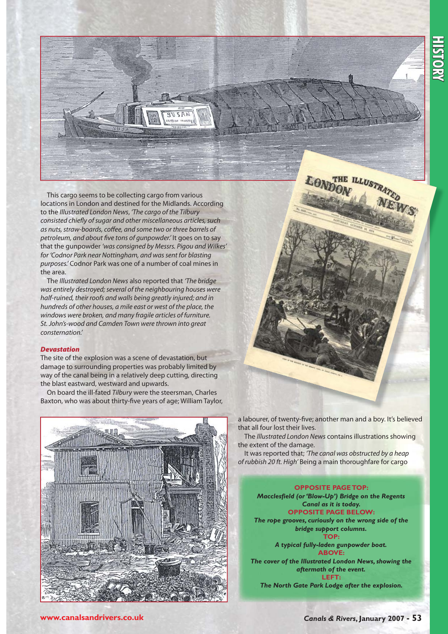

This cargo seems to be collecting cargo from various locations in London and destined for the Midlands. According to the Illustrated London News, 'The cargo of the Tilbury consisted chiefly of sugar and other miscellaneous articles, such as nuts, straw-boards, coffee, and some two or three barrels of petroleum, and about five tons of gunpowder.' It goes on to say that the gunpowder 'was consigned by Messrs. Pigou and Wilkes' for 'Codnor Park near Nottingham, and was sent for blasting purposes.' Codnor Park was one of a number of coal mines in the area.

The Illustrated London News also reported that 'The bridge was entirely destroyed; several of the neighbouring houses were half-ruined, their roofs and walls being greatly injured; and in hundreds of other houses, a mile east or west of the place, the windows were broken, and many fragile articles of furniture. St. John's-wood and Camden Town were thrown into great consternation.'

### *Devastation*

The site of the explosion was a scene of devastation, but damage to surrounding properties was probably limited by way of the canal being in a relatively deep cutting, directing the blast eastward, westward and upwards.

On board the ill-fated Tilbury were the steersman, Charles Baxton, who was about thirty-five years of age; William Taylor,



a labourer, of twenty-five; another man and a boy. It's believed that all four lost their lives.

The Illustrated London News contains illustrations showing the extent of the damage.

It was reported that; 'The canal was obstructed by a heap of rubbish 20 ft. High' Being a main thoroughfare for cargo

**OPPOSITE PAGE TOP:** *Macclesfield (or 'Blow-Up') Bridge on the Regents Canal as it is today.* **OPPOSITE PAGE BELOW:** *The rope grooves, curiously on the wrong side of the bridge support columns.* **TOP:** *A typical fully-laden gunpowder boat.*

**ABOVE:** *The cover of the Illustrated London News, showing the aftermath of the event.* **LEFT:**

*The North Gate Park Lodge after the explosion.*